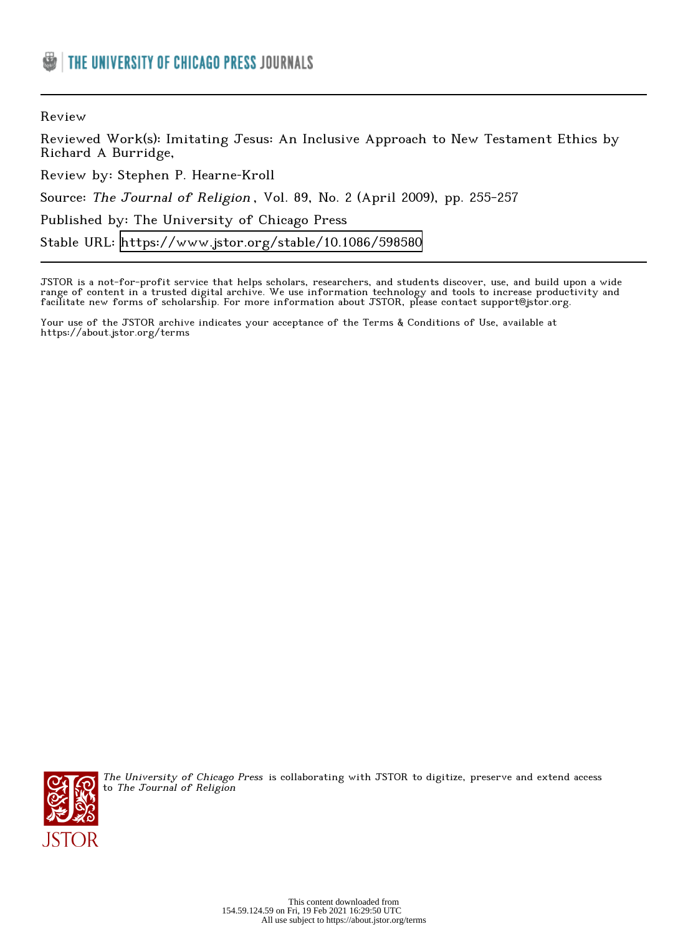# Review

Reviewed Work(s): Imitating Jesus: An Inclusive Approach to New Testament Ethics by Richard A Burridge,

Review by: Stephen P. Hearne‐Kroll

Source: The Journal of Religion , Vol. 89, No. 2 (April 2009), pp. 255-257

Published by: The University of Chicago Press

Stable URL:<https://www.jstor.org/stable/10.1086/598580>

JSTOR is a not-for-profit service that helps scholars, researchers, and students discover, use, and build upon a wide range of content in a trusted digital archive. We use information technology and tools to increase productivity and facilitate new forms of scholarship. For more information about JSTOR, please contact support@jstor.org.

Your use of the JSTOR archive indicates your acceptance of the Terms & Conditions of Use, available at https://about.jstor.org/terms



The University of Chicago Press is collaborating with JSTOR to digitize, preserve and extend access to The Journal of Religion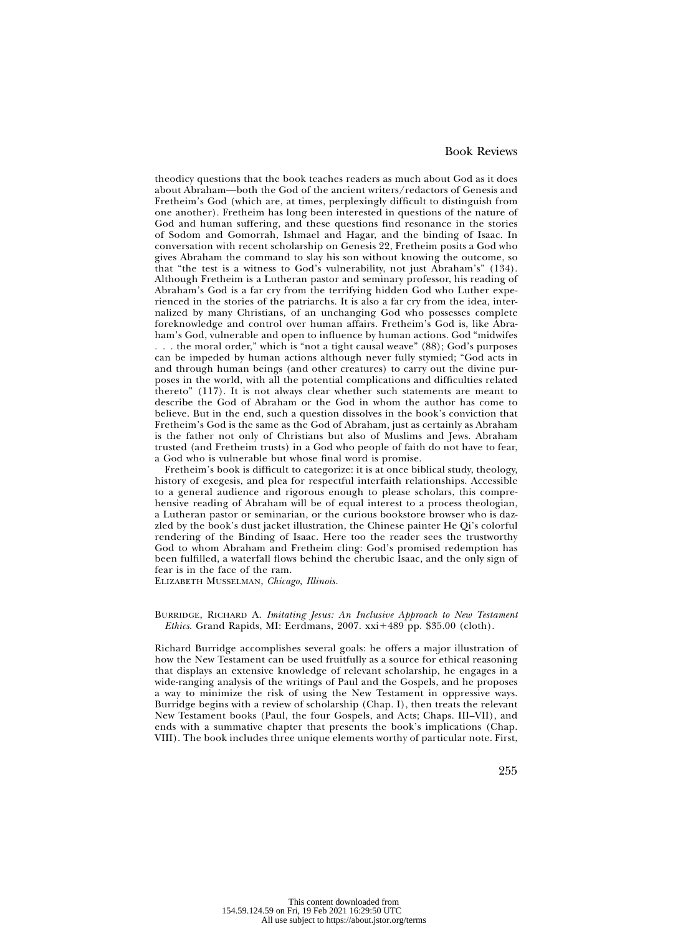## Book Reviews

theodicy questions that the book teaches readers as much about God as it does about Abraham—both the God of the ancient writers/redactors of Genesis and Fretheim's God (which are, at times, perplexingly difficult to distinguish from one another). Fretheim has long been interested in questions of the nature of God and human suffering, and these questions find resonance in the stories of Sodom and Gomorrah, Ishmael and Hagar, and the binding of Isaac. In conversation with recent scholarship on Genesis 22, Fretheim posits a God who gives Abraham the command to slay his son without knowing the outcome, so that "the test is a witness to God's vulnerability, not just Abraham's" (134). Although Fretheim is a Lutheran pastor and seminary professor, his reading of Abraham's God is a far cry from the terrifying hidden God who Luther experienced in the stories of the patriarchs. It is also a far cry from the idea, internalized by many Christians, of an unchanging God who possesses complete foreknowledge and control over human affairs. Fretheim's God is, like Abraham's God, vulnerable and open to influence by human actions. God "midwifes . . . the moral order," which is "not a tight causal weave" (88); God's purposes can be impeded by human actions although never fully stymied; "God acts in

and through human beings (and other creatures) to carry out the divine purposes in the world, with all the potential complications and difficulties related thereto" (117). It is not always clear whether such statements are meant to describe the God of Abraham or the God in whom the author has come to believe. But in the end, such a question dissolves in the book's conviction that Fretheim's God is the same as the God of Abraham, just as certainly as Abraham is the father not only of Christians but also of Muslims and Jews. Abraham trusted (and Fretheim trusts) in a God who people of faith do not have to fear, a God who is vulnerable but whose final word is promise.

Fretheim's book is difficult to categorize: it is at once biblical study, theology, history of exegesis, and plea for respectful interfaith relationships. Accessible to a general audience and rigorous enough to please scholars, this comprehensive reading of Abraham will be of equal interest to a process theologian, a Lutheran pastor or seminarian, or the curious bookstore browser who is dazzled by the book's dust jacket illustration, the Chinese painter He Qi's colorful rendering of the Binding of Isaac. Here too the reader sees the trustworthy God to whom Abraham and Fretheim cling: God's promised redemption has been fulfilled, a waterfall flows behind the cherubic Isaac, and the only sign of fear is in the face of the ram.

ELIZABETH MUSSELMAN, *Chicago, Illinois.*

#### BURRIDGE, RICHARD A. *Imitating Jesus: An Inclusive Approach to New Testament Ethics*. Grand Rapids, MI: Eerdmans, 2007. xxi+489 pp. \$35.00 (cloth).

Richard Burridge accomplishes several goals: he offers a major illustration of how the New Testament can be used fruitfully as a source for ethical reasoning that displays an extensive knowledge of relevant scholarship, he engages in a wide-ranging analysis of the writings of Paul and the Gospels, and he proposes a way to minimize the risk of using the New Testament in oppressive ways. Burridge begins with a review of scholarship (Chap. I), then treats the relevant New Testament books (Paul, the four Gospels, and Acts; Chaps. III–VII), and ends with a summative chapter that presents the book's implications (Chap. VIII). The book includes three unique elements worthy of particular note. First,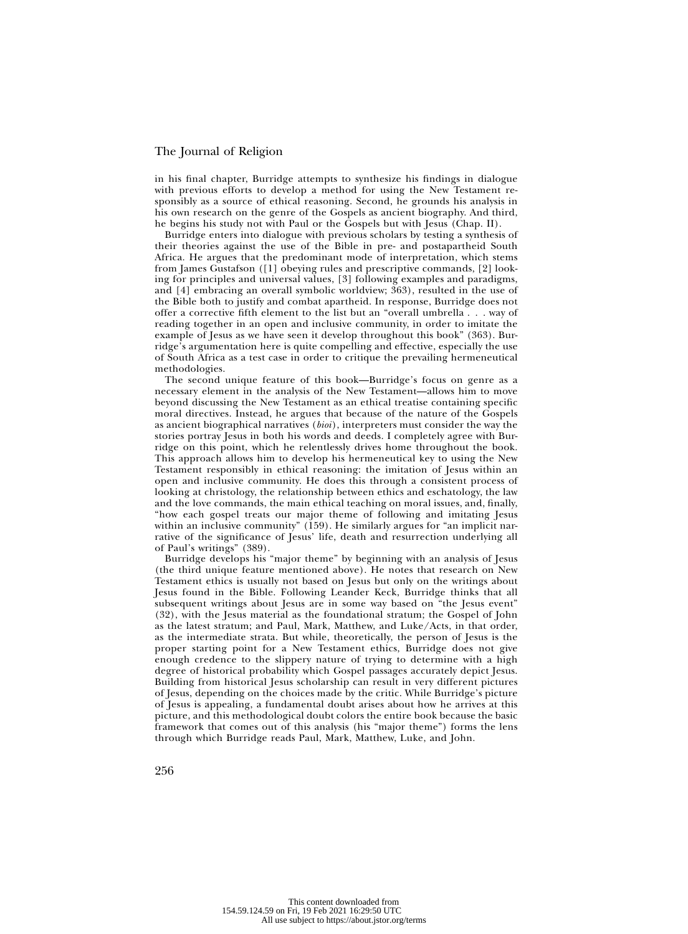## The Journal of Religion

in his final chapter, Burridge attempts to synthesize his findings in dialogue with previous efforts to develop a method for using the New Testament responsibly as a source of ethical reasoning. Second, he grounds his analysis in his own research on the genre of the Gospels as ancient biography. And third, he begins his study not with Paul or the Gospels but with Jesus (Chap. II).

Burridge enters into dialogue with previous scholars by testing a synthesis of their theories against the use of the Bible in pre- and postapartheid South Africa. He argues that the predominant mode of interpretation, which stems from James Gustafson ([1] obeying rules and prescriptive commands, [2] looking for principles and universal values, [3] following examples and paradigms, and [4] embracing an overall symbolic worldview; 363), resulted in the use of the Bible both to justify and combat apartheid. In response, Burridge does not offer a corrective fifth element to the list but an "overall umbrella . . . way of reading together in an open and inclusive community, in order to imitate the example of Jesus as we have seen it develop throughout this book" (363). Burridge's argumentation here is quite compelling and effective, especially the use of South Africa as a test case in order to critique the prevailing hermeneutical methodologies.

The second unique feature of this book—Burridge's focus on genre as a necessary element in the analysis of the New Testament—allows him to move beyond discussing the New Testament as an ethical treatise containing specific moral directives. Instead, he argues that because of the nature of the Gospels as ancient biographical narratives (*bioi*), interpreters must consider the way the stories portray Jesus in both his words and deeds. I completely agree with Burridge on this point, which he relentlessly drives home throughout the book. This approach allows him to develop his hermeneutical key to using the New Testament responsibly in ethical reasoning: the imitation of Jesus within an open and inclusive community. He does this through a consistent process of looking at christology, the relationship between ethics and eschatology, the law and the love commands, the main ethical teaching on moral issues, and, finally, "how each gospel treats our major theme of following and imitating Jesus within an inclusive community" (159). He similarly argues for "an implicit narrative of the significance of Jesus' life, death and resurrection underlying all of Paul's writings" (389).

Burridge develops his "major theme" by beginning with an analysis of Jesus (the third unique feature mentioned above). He notes that research on New Testament ethics is usually not based on Jesus but only on the writings about Jesus found in the Bible. Following Leander Keck, Burridge thinks that all subsequent writings about Jesus are in some way based on "the Jesus event" (32), with the Jesus material as the foundational stratum; the Gospel of John as the latest stratum; and Paul, Mark, Matthew, and Luke/Acts, in that order, as the intermediate strata. But while, theoretically, the person of Jesus is the proper starting point for a New Testament ethics, Burridge does not give enough credence to the slippery nature of trying to determine with a high degree of historical probability which Gospel passages accurately depict Jesus. Building from historical Jesus scholarship can result in very different pictures of Jesus, depending on the choices made by the critic. While Burridge's picture of Jesus is appealing, a fundamental doubt arises about how he arrives at this picture, and this methodological doubt colors the entire book because the basic framework that comes out of this analysis (his "major theme") forms the lens through which Burridge reads Paul, Mark, Matthew, Luke, and John.

256